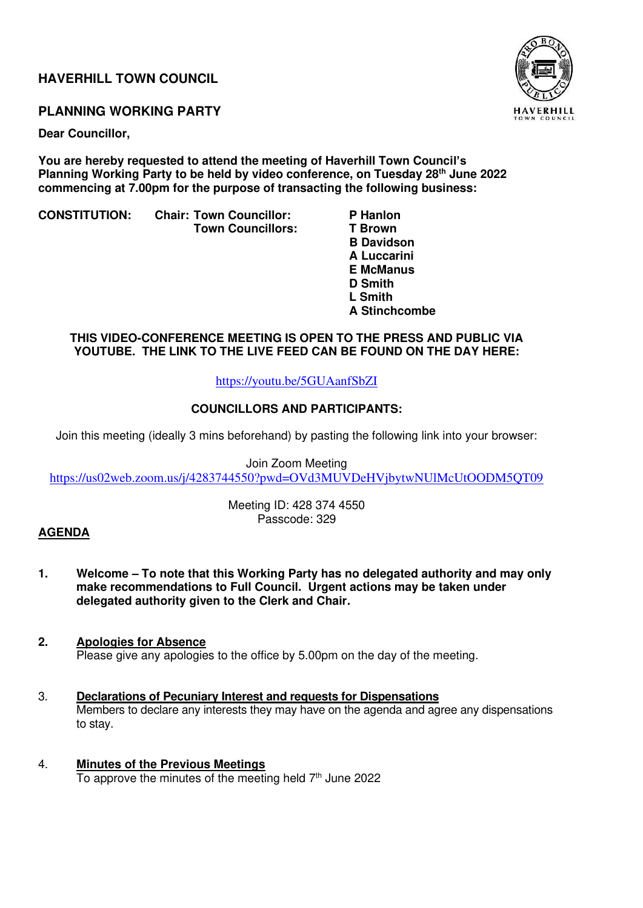## **HAVERHILL TOWN COUNCIL**

## **PLANNING WORKING PARTY**

**Dear Councillor,** 

**You are hereby requested to attend the meeting of Haverhill Town Council's Planning Working Party to be held by video conference, on Tuesday 28th June 2022 commencing at 7.00pm for the purpose of transacting the following business:** 

**CONSTITUTION: Chair: Town Councillor: P Hanlon** 

- **Town Councillors:**
- **B Davidson A Luccarini E McManus D Smith**  *L* **Smith L** Smith  **A Stinchcombe**

## **THIS VIDEO-CONFERENCE MEETING IS OPEN TO THE PRESS AND PUBLIC VIA YOUTUBE. THE LINK TO THE LIVE FEED CAN BE FOUND ON THE DAY HERE:**

## <https://youtu.be/5GUAanfSbZI>

## **COUNCILLORS AND PARTICIPANTS:**

Join this meeting (ideally 3 mins beforehand) by pasting the following link into your browser:

Join Zoom Meeting <https://us02web.zoom.us/j/4283744550?pwd=OVd3MUVDeHVjbytwNUlMcUtOODM5QT09>

> Meeting ID: 428 374 4550 Passcode: 329

## **AGENDA**

- **1. Welcome – To note that this Working Party has no delegated authority and may only make recommendations to Full Council. Urgent actions may be taken under delegated authority given to the Clerk and Chair.**
- **2. Apologies for Absence**  Please give any apologies to the office by 5.00pm on the day of the meeting.
- 3. **Declarations of Pecuniary Interest and requests for Dispensations** Members to declare any interests they may have on the agenda and agree any dispensations to stay.
- 4. **Minutes of the Previous Meetings** To approve the minutes of the meeting held  $7<sup>th</sup>$  June 2022

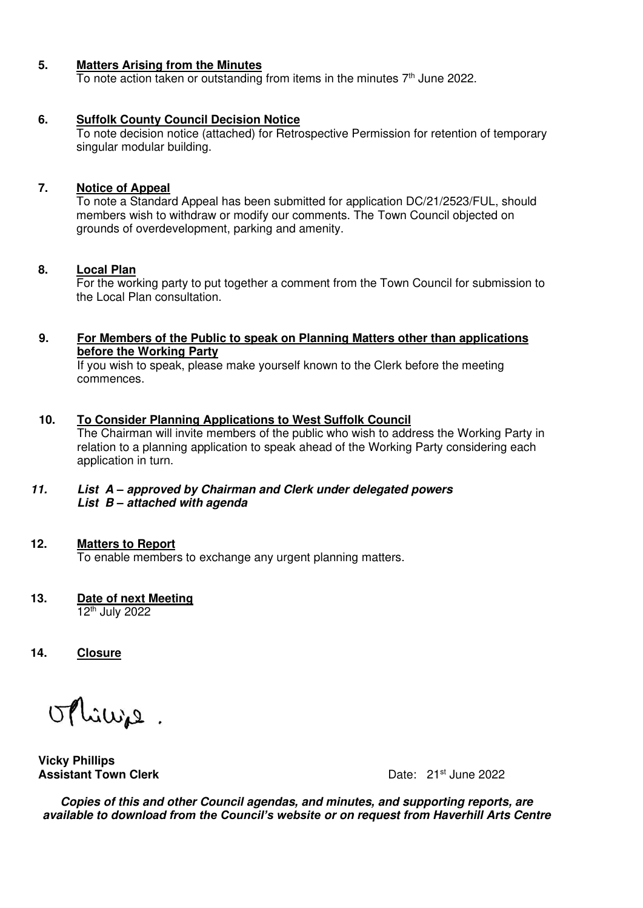## **5. Matters Arising from the Minutes**

To note action taken or outstanding from items in the minutes  $7<sup>th</sup>$  June 2022.

#### **6. Suffolk County Council Decision Notice**

 To note decision notice (attached) for Retrospective Permission for retention of temporary singular modular building.

#### **7. Notice of Appeal**

To note a Standard Appeal has been submitted for application DC/21/2523/FUL, should members wish to withdraw or modify our comments. The Town Council objected on grounds of overdevelopment, parking and amenity.

#### **8. Local Plan**

 For the working party to put together a comment from the Town Council for submission to the Local Plan consultation.

## **9. For Members of the Public to speak on Planning Matters other than applications before the Working Party**

 If you wish to speak, please make yourself known to the Clerk before the meeting commences.

#### **10. To Consider Planning Applications to West Suffolk Council**

 The Chairman will invite members of the public who wish to address the Working Party in relation to a planning application to speak ahead of the Working Party considering each application in turn.

#### **11. List A** *–* **approved by Chairman and Clerk under delegated powers List B** *–* **attached with agenda**

#### **12. Matters to Report**

To enable members to exchange any urgent planning matters.

# **13. Date of next Meeting**

12th July 2022

**14. Closure** 

Minie.

**Vicky Phillips Assistant Town Clerk Clearly Clearly Clerge Clearly 21st June 2022** 

**Copies of this and other Council agendas, and minutes, and supporting reports, are available to downlo***ad from the Council's website* **or on request from Haverhill Arts Centre**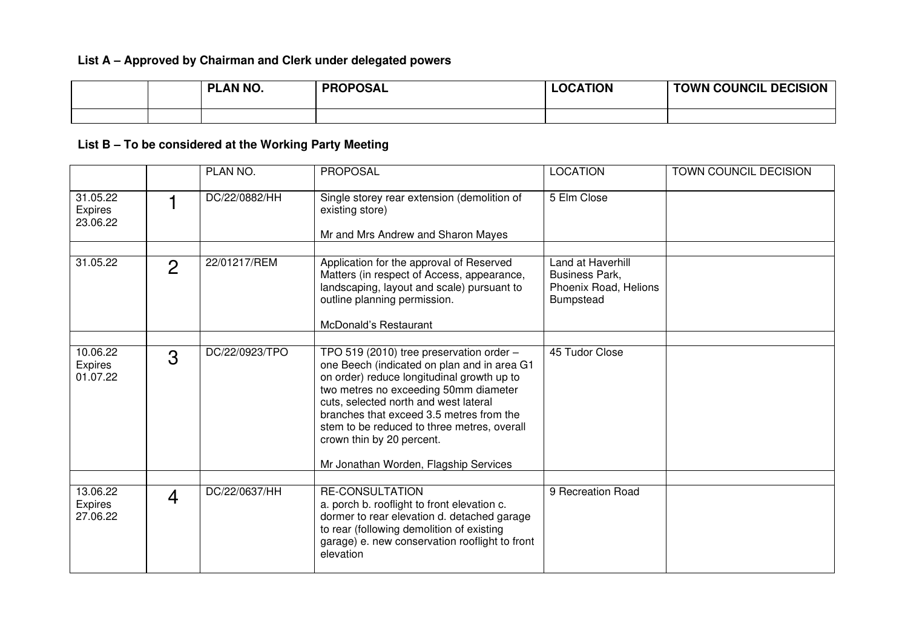## **List A – Approved by Chairman and Clerk under delegated powers**

|  | PLAN NO. | <b>PROPOSAL</b> | <b>LOCATION</b> | <b>TOWN COUNCIL DECISION</b> |
|--|----------|-----------------|-----------------|------------------------------|
|  |          |                 |                 |                              |

# **List B – To be considered at the Working Party Meeting**

|                                        |                | PLAN NO.       | <b>PROPOSAL</b>                                                                                                                                                                                                                                                                                                                                                                          | <b>LOCATION</b>                                                                         | TOWN COUNCIL DECISION |
|----------------------------------------|----------------|----------------|------------------------------------------------------------------------------------------------------------------------------------------------------------------------------------------------------------------------------------------------------------------------------------------------------------------------------------------------------------------------------------------|-----------------------------------------------------------------------------------------|-----------------------|
| 31.05.22<br><b>Expires</b><br>23.06.22 |                | DC/22/0882/HH  | Single storey rear extension (demolition of<br>existing store)<br>Mr and Mrs Andrew and Sharon Mayes                                                                                                                                                                                                                                                                                     | 5 Elm Close                                                                             |                       |
|                                        |                |                |                                                                                                                                                                                                                                                                                                                                                                                          |                                                                                         |                       |
| 31.05.22                               | $\overline{2}$ | 22/01217/REM   | Application for the approval of Reserved<br>Matters (in respect of Access, appearance,<br>landscaping, layout and scale) pursuant to<br>outline planning permission.<br>McDonald's Restaurant                                                                                                                                                                                            | Land at Haverhill<br><b>Business Park,</b><br>Phoenix Road, Helions<br><b>Bumpstead</b> |                       |
|                                        |                |                |                                                                                                                                                                                                                                                                                                                                                                                          |                                                                                         |                       |
| 10.06.22<br>Expires<br>01.07.22        | 3              | DC/22/0923/TPO | TPO 519 (2010) tree preservation order -<br>one Beech (indicated on plan and in area G1<br>on order) reduce longitudinal growth up to<br>two metres no exceeding 50mm diameter<br>cuts, selected north and west lateral<br>branches that exceed 3.5 metres from the<br>stem to be reduced to three metres, overall<br>crown thin by 20 percent.<br>Mr Jonathan Worden, Flagship Services | 45 Tudor Close                                                                          |                       |
|                                        |                |                |                                                                                                                                                                                                                                                                                                                                                                                          |                                                                                         |                       |
| 13.06.22<br>Expires<br>27.06.22        | $\overline{4}$ | DC/22/0637/HH  | <b>RE-CONSULTATION</b><br>a. porch b. rooflight to front elevation c.<br>dormer to rear elevation d. detached garage<br>to rear (following demolition of existing<br>garage) e. new conservation rooflight to front<br>elevation                                                                                                                                                         | 9 Recreation Road                                                                       |                       |